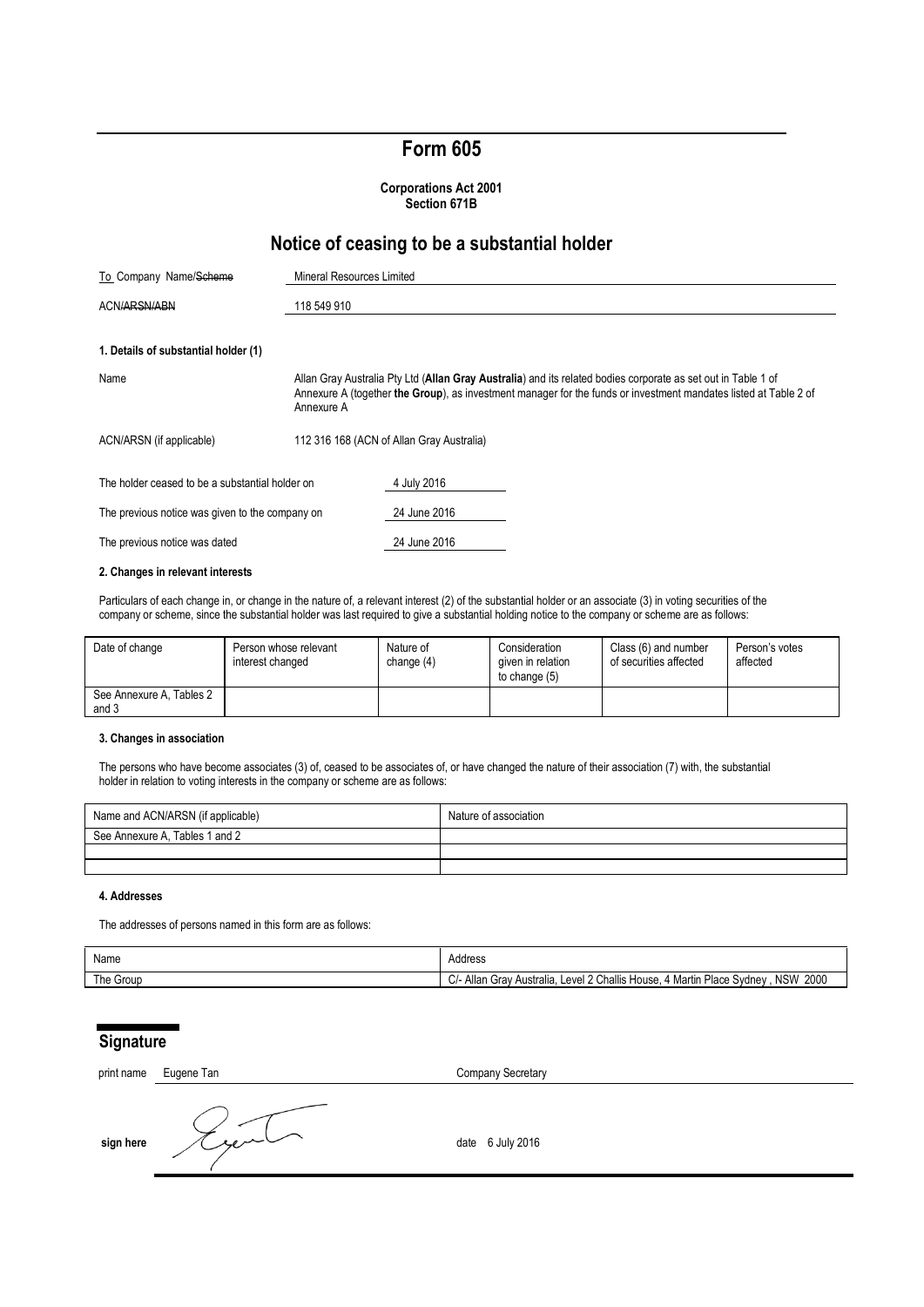# **Form 605**

**Corporations Act 2001 Section 671B**

# **Notice of ceasing to be a substantial holder**

| To Company Name/Scheme                          | <b>Mineral Resources Limited</b>                                                                                                                                                                                                                |                                           |  |  |
|-------------------------------------------------|-------------------------------------------------------------------------------------------------------------------------------------------------------------------------------------------------------------------------------------------------|-------------------------------------------|--|--|
| ACN/ARSN/ABN                                    | 118 549 910                                                                                                                                                                                                                                     |                                           |  |  |
| 1. Details of substantial holder (1)            |                                                                                                                                                                                                                                                 |                                           |  |  |
| Name                                            | Allan Gray Australia Pty Ltd (Allan Gray Australia) and its related bodies corporate as set out in Table 1 of<br>Annexure A (together the Group), as investment manager for the funds or investment mandates listed at Table 2 of<br>Annexure A |                                           |  |  |
| ACN/ARSN (if applicable)                        |                                                                                                                                                                                                                                                 | 112 316 168 (ACN of Allan Gray Australia) |  |  |
| The holder ceased to be a substantial holder on |                                                                                                                                                                                                                                                 | 4 July 2016                               |  |  |
| The previous notice was given to the company on |                                                                                                                                                                                                                                                 | 24 June 2016                              |  |  |
| The previous notice was dated                   |                                                                                                                                                                                                                                                 | 24 June 2016                              |  |  |

## **2. Changes in relevant interests**

Particulars of each change in, or change in the nature of, a relevant interest (2) of the substantial holder or an associate (3) in voting securities of the company or scheme, since the substantial holder was last required to give a substantial holding notice to the company or scheme are as follows:

| Date of change                    | Person whose relevant<br>interest changed | Nature of<br>change $(4)$ | Consideration<br>given in relation<br>to change (5) | Class (6) and number<br>of securities affected | Person's votes<br>affected |
|-----------------------------------|-------------------------------------------|---------------------------|-----------------------------------------------------|------------------------------------------------|----------------------------|
| See Annexure A, Tables 2<br>and 3 |                                           |                           |                                                     |                                                |                            |

#### **3. Changes in association**

The persons who have become associates (3) of, ceased to be associates of, or have changed the nature of their association (7) with, the substantial holder in relation to voting interests in the company or scheme are as follows:

| Name and ACN/ARSN (if applicable) | Nature of association |
|-----------------------------------|-----------------------|
| See Annexure A, Tables 1 and 2    |                       |
|                                   |                       |
|                                   |                       |

### **4. Addresses**

The addresses of persons named in this form are as follows:

| Name      | Address                                                                                                             |
|-----------|---------------------------------------------------------------------------------------------------------------------|
| The Group | 2000<br>Level 2 Challis<br><b>NSW</b><br>Place<br>. Svdnev<br>Martin<br>C/- Allan<br>* Australia.<br>House.<br>Grav |

# **Signature**

| print name | Eugene Tan | Company Secretary |
|------------|------------|-------------------|
| sign here  | سأسترمد    | date 6 July 2016  |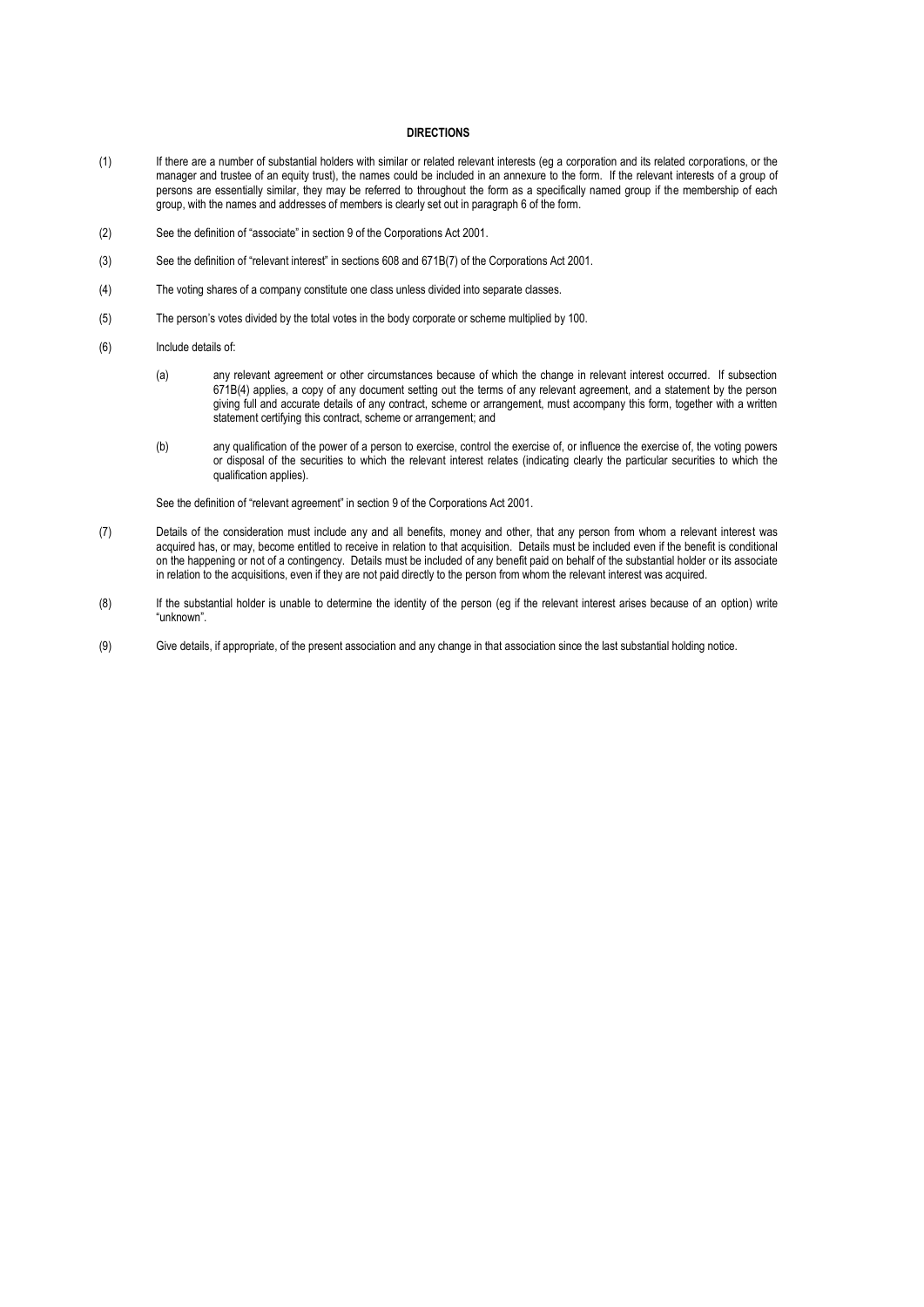#### **DIRECTIONS**

- (1) If there are a number of substantial holders with similar or related relevant interests (eg a corporation and its related corporations, or the manager and trustee of an equity trust), the names could be included in an annexure to the form. If the relevant interests of a group of persons are essentially similar, they may be referred to throughout the form as a specifically named group if the membership of each group, with the names and addresses of members is clearly set out in paragraph 6 of the form.
- (2) See the definition of "associate" in section 9 of the Corporations Act 2001.
- (3) See the definition of "relevant interest" in sections 608 and 671B(7) of the Corporations Act 2001.
- (4) The voting shares of a company constitute one class unless divided into separate classes.
- (5) The person's votes divided by the total votes in the body corporate or scheme multiplied by 100.
- (6) Include details of:
	- (a) any relevant agreement or other circumstances because of which the change in relevant interest occurred. If subsection 671B(4) applies, a copy of any document setting out the terms of any relevant agreement, and a statement by the person giving full and accurate details of any contract, scheme or arrangement, must accompany this form, together with a written statement certifying this contract, scheme or arrangement; and
	- (b) any qualification of the power of a person to exercise, control the exercise of, or influence the exercise of, the voting powers or disposal of the securities to which the relevant interest relates (indicating clearly the particular securities to which the qualification applies).

See the definition of "relevant agreement" in section 9 of the Corporations Act 2001.

- (7) Details of the consideration must include any and all benefits, money and other, that any person from whom a relevant interest was acquired has, or may, become entitled to receive in relation to that acquisition. Details must be included even if the benefit is conditional on the happening or not of a contingency. Details must be included of any benefit paid on behalf of the substantial holder or its associate in relation to the acquisitions, even if they are not paid directly to the person from whom the relevant interest was acquired.
- (8) If the substantial holder is unable to determine the identity of the person (eg if the relevant interest arises because of an option) write "unknown".
- (9) Give details, if appropriate, of the present association and any change in that association since the last substantial holding notice.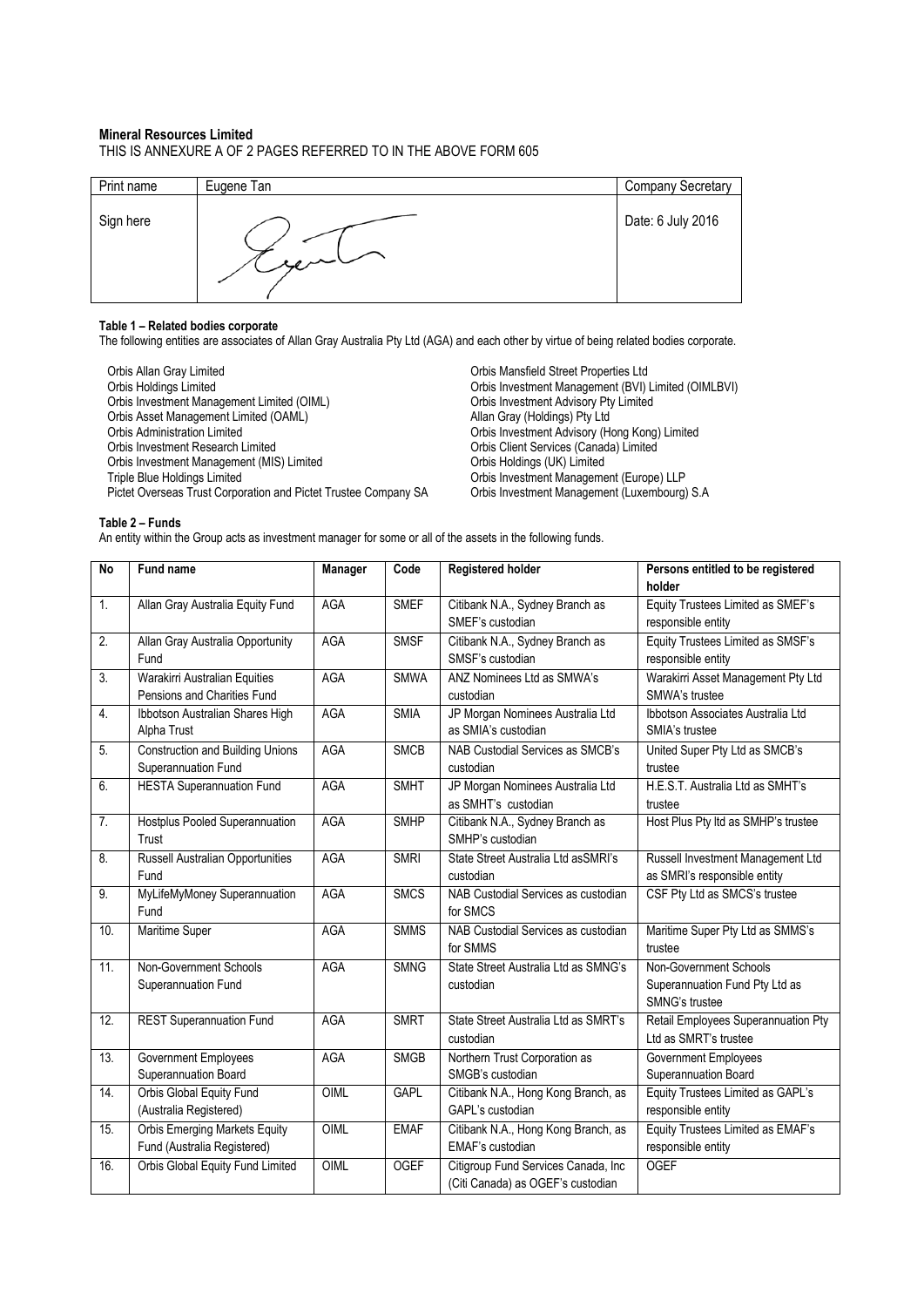### **Mineral Resources Limited**

THIS IS ANNEXURE A OF 2 PAGES REFERRED TO IN THE ABOVE FORM 605

| Print name | Eugene Tan | <b>Company Secretary</b> |
|------------|------------|--------------------------|
| Sign here  | .<br>سده م | Date: 6 July 2016        |

#### **Table 1 – Related bodies corporate**

The following entities are associates of Allan Gray Australia Pty Ltd (AGA) and each other by virtue of being related bodies corporate.

Orbis Allan Gray Limited<br>
Orbis Holdings Limited Critics Ltd<br>
Orbis Investment Management (BVI) I Orbis Investment Management Limited (OIML) Crisis Investment Advisory Pty<br>
Orbis Asset Management Limited (OAML) Crisis Allan Gray (Holdings) Pty Ltd Orbis Asset Management Limited (OAML)<br>Orbis Administration Limited Orbis Administration Limited Orbis Investment Advisory (Hong Kong) Limited Orbis Investment Research Limited Orbis Client Services (Canada) Limited Orbis Investment Management (MIS) Limited Crisis Holdings (UK) Limited Triple Blue Holdings Limited Crisis Investment Manageme Pictet Overseas Trust Corporation and Pictet Trustee Company SA

Orbis Investment Management (BVI) Limited (OIMLBVI)<br>Orbis Investment Advisory Pty Limited Orbis Investment Management (Europe) LLP<br>Orbis Investment Management (Luxembourg) S.A

### **Table 2 – Funds**

An entity within the Group acts as investment manager for some or all of the assets in the following funds.

| <b>No</b> | Fund name                               | Manager    | Code        | Registered holder                    | Persons entitled to be registered   |
|-----------|-----------------------------------------|------------|-------------|--------------------------------------|-------------------------------------|
|           |                                         |            |             |                                      | holder                              |
| 1.        | Allan Gray Australia Equity Fund        | <b>AGA</b> | <b>SMEF</b> | Citibank N.A., Sydney Branch as      | Equity Trustees Limited as SMEF's   |
|           |                                         |            |             | SMEF's custodian                     | responsible entity                  |
| 2.        | Allan Gray Australia Opportunity        | AGA        | <b>SMSF</b> | Citibank N.A., Sydney Branch as      | Equity Trustees Limited as SMSF's   |
|           | Fund                                    |            |             | SMSF's custodian                     | responsible entity                  |
| 3.        | Warakirri Australian Equities           | AGA        | <b>SMWA</b> | ANZ Nominees Ltd as SMWA's           | Warakirri Asset Management Pty Ltd  |
|           | Pensions and Charities Fund             |            |             | custodian                            | SMWA's trustee                      |
| 4.        | Ibbotson Australian Shares High         | <b>AGA</b> | <b>SMIA</b> | JP Morgan Nominees Australia Ltd     | Ibbotson Associates Australia Ltd   |
|           | Alpha Trust                             |            |             | as SMIA's custodian                  | SMIA's trustee                      |
| 5.        | <b>Construction and Building Unions</b> | <b>AGA</b> | <b>SMCB</b> | NAB Custodial Services as SMCB's     | United Super Pty Ltd as SMCB's      |
|           | Superannuation Fund                     |            |             | custodian                            | trustee                             |
| 6.        | <b>HESTA Superannuation Fund</b>        | <b>AGA</b> | <b>SMHT</b> | JP Morgan Nominees Australia Ltd     | H.E.S.T. Australia Ltd as SMHT's    |
|           |                                         |            |             | as SMHT's custodian                  | trustee                             |
| 7.        | Hostplus Pooled Superannuation          | AGA        | <b>SMHP</b> | Citibank N.A., Sydney Branch as      | Host Plus Pty Itd as SMHP's trustee |
|           | Trust                                   |            |             | SMHP's custodian                     |                                     |
| 8.        | Russell Australian Opportunities        | <b>AGA</b> | <b>SMRI</b> | State Street Australia Ltd asSMRI's  | Russell Investment Management Ltd   |
|           | Fund                                    |            |             | custodian                            | as SMRI's responsible entity        |
| 9.        | MyLifeMyMoney Superannuation            | AGA        | <b>SMCS</b> | NAB Custodial Services as custodian  | CSF Pty Ltd as SMCS's trustee       |
|           | Fund                                    |            |             | for SMCS                             |                                     |
| 10.       | Maritime Super                          | AGA        | <b>SMMS</b> | NAB Custodial Services as custodian  | Maritime Super Pty Ltd as SMMS's    |
|           |                                         |            |             | for SMMS                             | trustee                             |
| 11.       | Non-Government Schools                  | <b>AGA</b> | <b>SMNG</b> | State Street Australia Ltd as SMNG's | Non-Government Schools              |
|           | Superannuation Fund                     |            |             | custodian                            | Superannuation Fund Pty Ltd as      |
|           |                                         |            |             |                                      | SMNG's trustee                      |
| 12.       | <b>REST Superannuation Fund</b>         | <b>AGA</b> | <b>SMRT</b> | State Street Australia Ltd as SMRT's | Retail Employees Superannuation Pty |
|           |                                         |            |             | custodian                            | Ltd as SMRT's trustee               |
| 13.       | Government Employees                    | <b>AGA</b> | <b>SMGB</b> | Northern Trust Corporation as        | <b>Government Employees</b>         |
|           | Superannuation Board                    |            |             | SMGB's custodian                     | Superannuation Board                |
| 14.       | Orbis Global Equity Fund                | OIML       | <b>GAPL</b> | Citibank N.A., Hong Kong Branch, as  | Equity Trustees Limited as GAPL's   |
|           | (Australia Registered)                  |            |             | GAPL's custodian                     | responsible entity                  |
| 15.       | <b>Orbis Emerging Markets Equity</b>    | OIML       | <b>EMAF</b> | Citibank N.A., Hong Kong Branch, as  | Equity Trustees Limited as EMAF's   |
|           | Fund (Australia Registered)             |            |             | EMAF's custodian                     | responsible entity                  |
| 16.       | Orbis Global Equity Fund Limited        | OIML       | <b>OGEF</b> | Citigroup Fund Services Canada, Inc  | <b>OGEF</b>                         |
|           |                                         |            |             | (Citi Canada) as OGEF's custodian    |                                     |